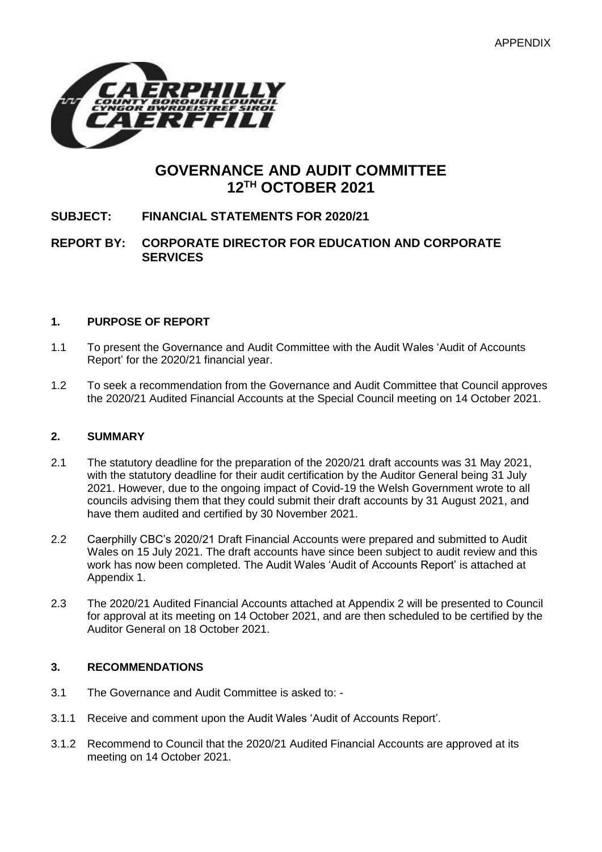

# **GOVERNANCE AND AUDIT COMMITTEE 12TH OCTOBER 2021**

# **SUBJECT: FINANCIAL STATEMENTS FOR 2020/21**

## **REPORT BY: CORPORATE DIRECTOR FOR EDUCATION AND CORPORATE SERVICES**

## **1. PURPOSE OF REPORT**

- 1.1 To present the Governance and Audit Committee with the Audit Wales 'Audit of Accounts Report' for the 2020/21 financial year.
- 1.2 To seek a recommendation from the Governance and Audit Committee that Council approves the 2020/21 Audited Financial Accounts at the Special Council meeting on 14 October 2021.

## **2. SUMMARY**

- 2.1 The statutory deadline for the preparation of the 2020/21 draft accounts was 31 May 2021, with the statutory deadline for their audit certification by the Auditor General being 31 July 2021. However, due to the ongoing impact of Covid-19 the Welsh Government wrote to all councils advising them that they could submit their draft accounts by 31 August 2021, and have them audited and certified by 30 November 2021.
- 2.2 Caerphilly CBC's 2020/21 Draft Financial Accounts were prepared and submitted to Audit Wales on 15 July 2021. The draft accounts have since been subject to audit review and this work has now been completed. The Audit Wales 'Audit of Accounts Report' is attached at Appendix 1.
- 2.3 The 2020/21 Audited Financial Accounts attached at Appendix 2 will be presented to Council for approval at its meeting on 14 October 2021, and are then scheduled to be certified by the Auditor General on 18 October 2021.

## **3. RECOMMENDATIONS**

- 3.1 The Governance and Audit Committee is asked to: -
- 3.1.1 Receive and comment upon the Audit Wales 'Audit of Accounts Report'.
- 3.1.2 Recommend to Council that the 2020/21 Audited Financial Accounts are approved at its meeting on 14 October 2021.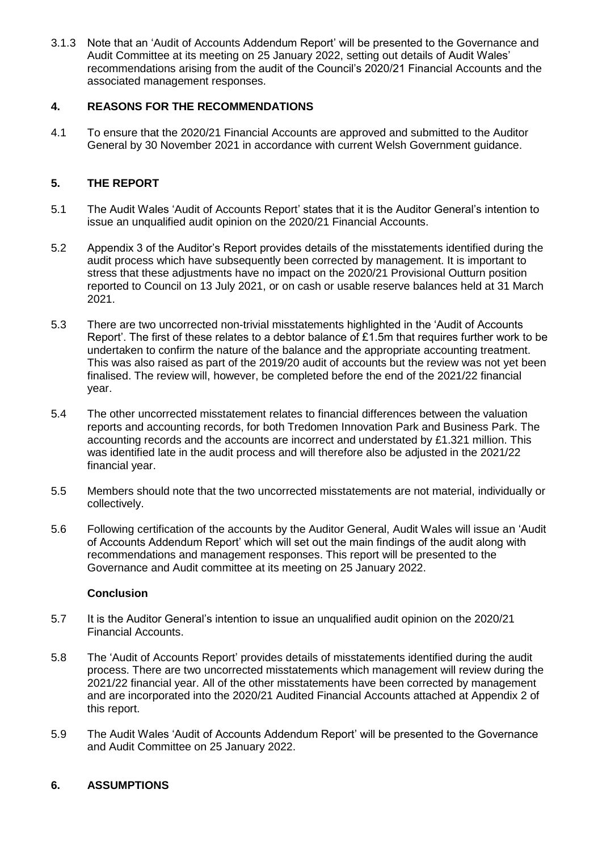3.1.3 Note that an 'Audit of Accounts Addendum Report' will be presented to the Governance and Audit Committee at its meeting on 25 January 2022, setting out details of Audit Wales' recommendations arising from the audit of the Council's 2020/21 Financial Accounts and the associated management responses.

## **4. REASONS FOR THE RECOMMENDATIONS**

4.1 To ensure that the 2020/21 Financial Accounts are approved and submitted to the Auditor General by 30 November 2021 in accordance with current Welsh Government guidance.

## **5. THE REPORT**

- 5.1 The Audit Wales 'Audit of Accounts Report' states that it is the Auditor General's intention to issue an unqualified audit opinion on the 2020/21 Financial Accounts.
- 5.2 Appendix 3 of the Auditor's Report provides details of the misstatements identified during the audit process which have subsequently been corrected by management. It is important to stress that these adjustments have no impact on the 2020/21 Provisional Outturn position reported to Council on 13 July 2021, or on cash or usable reserve balances held at 31 March 2021.
- 5.3 There are two uncorrected non-trivial misstatements highlighted in the 'Audit of Accounts Report'. The first of these relates to a debtor balance of £1.5m that requires further work to be undertaken to confirm the nature of the balance and the appropriate accounting treatment. This was also raised as part of the 2019/20 audit of accounts but the review was not yet been finalised. The review will, however, be completed before the end of the 2021/22 financial year.
- 5.4 The other uncorrected misstatement relates to financial differences between the valuation reports and accounting records, for both Tredomen Innovation Park and Business Park. The accounting records and the accounts are incorrect and understated by £1.321 million. This was identified late in the audit process and will therefore also be adjusted in the 2021/22 financial year.
- 5.5 Members should note that the two uncorrected misstatements are not material, individually or collectively.
- 5.6 Following certification of the accounts by the Auditor General, Audit Wales will issue an 'Audit of Accounts Addendum Report' which will set out the main findings of the audit along with recommendations and management responses. This report will be presented to the Governance and Audit committee at its meeting on 25 January 2022.

## **Conclusion**

- 5.7 It is the Auditor General's intention to issue an unqualified audit opinion on the 2020/21 Financial Accounts.
- 5.8 The 'Audit of Accounts Report' provides details of misstatements identified during the audit process. There are two uncorrected misstatements which management will review during the 2021/22 financial year. All of the other misstatements have been corrected by management and are incorporated into the 2020/21 Audited Financial Accounts attached at Appendix 2 of this report.
- 5.9 The Audit Wales 'Audit of Accounts Addendum Report' will be presented to the Governance and Audit Committee on 25 January 2022.

## **6. ASSUMPTIONS**